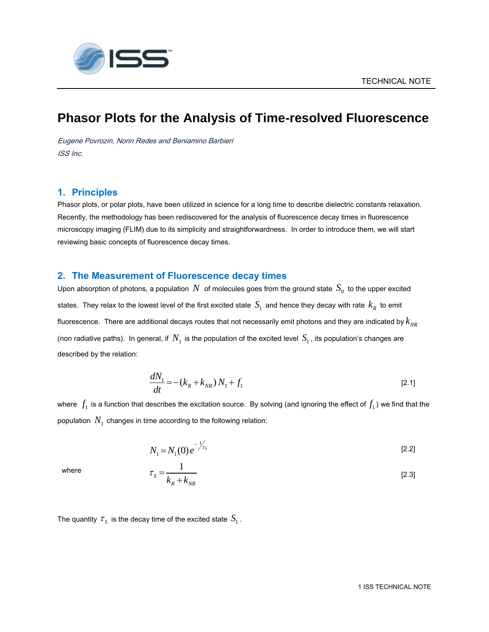

# **Phasor Plots for the Analysis of Time-resolved Fluorescence**

Eugene Povrozin, Norin Redes and Beniamino Barbieri ISS Inc.

## **1. Principles**

Phasor plots, or polar plots, have been utilized in science for a long time to describe dielectric constants relaxation. Recently, the methodology has been rediscovered for the analysis of fluorescence decay times in fluorescence microscopy imaging (FLIM) due to its simplicity and straightforwardness. In order to introduce them, we will start reviewing basic concepts of fluorescence decay times.

## **2. The Measurement of Fluorescence decay times**

Upon absorption of photons, a population  $\,N\,$  of molecules goes from the ground state  $\,S_{0}\,$  to the upper excited states. They relax to the lowest level of the first excited state  $\,S_1^{}\,$  and hence they decay with rate  $\,k_R^{}\,$  to emit fluorescence. There are additional decays routes that not necessarily emit photons and they are indicated by  $k_{\scriptscriptstyle NR}$ (non radiative paths). In general, if  $\,N_1^{}$  is the population of the excited level  $\,S_1^{}$ , its population's changes are described by the relation:

$$
\frac{dN_1}{dt} = -(k_R + k_{NR})N_1 + f_1
$$
\n[2.1]

where  $\,f_1$  is a function that describes the excitation source. By solving (and ignoring the effect of  $f_1$ ) we find that the population  $\,N_{_1}$  changes in time according to the following relation:

$$
N_1 = N_1(0) e^{-\frac{t}{\sqrt{\tau_s}}} \tag{2.2}
$$

1  $S - k_R + k_{NR}$  $\tau_{\rm s} =$  $\ddot{}$ [2.3]

where

The quantity  $\tau_{_S}$  is the decay time of the excited state  $\,S_1^{}\,$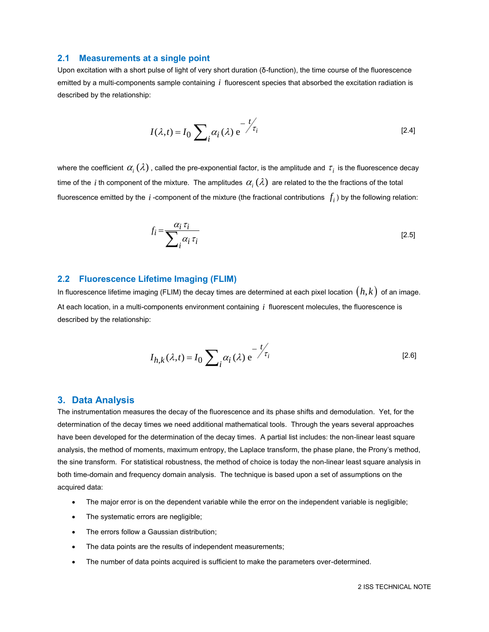#### **2.1 Measurements at a single point**

Upon excitation with a short pulse of light of very short duration (δ-function), the time course of the fluorescence emitted by a multi-components sample containing *i* fluorescent species that absorbed the excitation radiation is described by the relationship:

$$
I(\lambda, t) = I_0 \sum_{i} \alpha_i(\lambda) e^{-\frac{t}{\tau_i}}
$$

where the coefficient  $\alpha_i(\lambda)$  , called the pre-exponential factor, is the amplitude and  $\,\tau_i$  is the fluorescence decay time of the  $i$  th component of the mixture. The amplitudes  $\,\alpha_i^{}(\lambda)\,$  are related to the the fractions of the total fluorescence emitted by the  $\,i$  -component of the mixture (the fractional contributions  $\,f_i$  ) by the following relation:

$$
f_i = \frac{\alpha_i \tau_i}{\sum_i \alpha_i \tau_i} \tag{2.5}
$$

#### **2.2 Fluorescence Lifetime Imaging (FLIM)**

In fluorescence lifetime imaging (FLIM) the decay times are determined at each pixel location  $\bigl(\,h,k\,\bigr)$  of an image. At each location, in a multi-components environment containing *i* fluorescent molecules, the fluorescence is described by the relationship:

$$
I_{h,k}(\lambda,t) = I_0 \sum_{i} \alpha_i(\lambda) e^{-\frac{t}{\mathcal{I}_i}}
$$

#### **3. Data Analysis**

The instrumentation measures the decay of the fluorescence and its phase shifts and demodulation. Yet, for the determination of the decay times we need additional mathematical tools. Through the years several approaches have been developed for the determination of the decay times. A partial list includes: the non-linear least square analysis, the method of moments, maximum entropy, the Laplace transform, the phase plane, the Prony's method, the sine transform. For statistical robustness, the method of choice is today the non-linear least square analysis in both time-domain and frequency domain analysis. The technique is based upon a set of assumptions on the acquired data:

- The major error is on the dependent variable while the error on the independent variable is negligible;
- The systematic errors are negligible;
- The errors follow a Gaussian distribution;
- The data points are the results of independent measurements;
- The number of data points acquired is sufficient to make the parameters over-determined.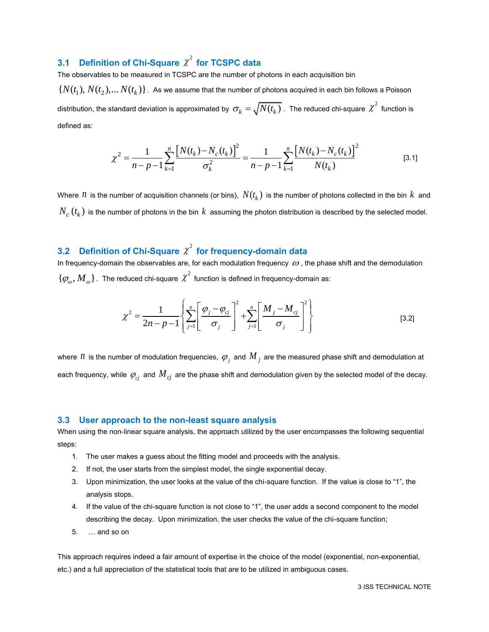## **3.1 Definition of Chi-Square**  $\chi^2$  **for TCSPC data**

The observables to be measured in TCSPC are the number of photons in each acquisition bin  $\{N(t_1),N(t_2),...N(t_k)\}$ . As we assume that the number of photons acquired in each bin follows a Poisson distribution, the standard deviation is approximated by  $\,\sigma_k^{}=\sqrt{N(t_k^{})}$  . The reduced chi-square  $\,\chi^2\,$  function is defined as:

$$
\chi^2 = \frac{1}{n - p - 1} \sum_{k=1}^n \frac{\left[ N(t_k) - N_c(t_k) \right]^2}{\sigma_k^2} = \frac{1}{n - p - 1} \sum_{k=1}^n \frac{\left[ N(t_k) - N_c(t_k) \right]^2}{N(t_k)}
$$
 [3.1]

Where  $\,n\,$  is the number of acquisition channels (or bins),  $\,N(t_k)\,$  is the number of photons collected in the bin  $\,k\,$  and  $N_{_C}\left(t_k\right)$  is the number of photons in the bin  $\,k\,$  assuming the photon distribution is described by the selected model.

## 3.2 Definition of Chi-Square  $\chi^2$  for frequency-domain data

In frequency-domain the observables are, for each modulation frequency  $\omega$ , the phase shift and the demodulation  $\{\varphi^{}_{\!o}, M^{}_{\!o}\}$  . The reduced chi-square  $\chi^2$  function is defined in frequency-domain as:

$$
\chi^2 = \frac{1}{2n - p - 1} \left\{ \sum_{j=1}^n \left[ \frac{\varphi_j - \varphi_{cj}}{\sigma_j} \right]^2 + \sum_{j=1}^n \left[ \frac{M_j - M_{cj}}{\sigma_j} \right]^2 \right\}
$$
 [3.2]

where  $\,n\,$  is the number of modulation frequencies,  $\,\varphi_{_j}\,$  and  $\,M_{_j}\,$  are the measured phase shift and demodulation at each frequency, while  $\,\varphi_{c_j}^{}\,$  and  $M_{\,c_j}^{}\,$  are the phase shift and demodulation given by the selected model of the decay.

#### **3.3 User approach to the non-least square analysis**

When using the non-linear square analysis, the approach utilized by the user encompasses the following sequential steps:

- 1. The user makes a guess about the fitting model and proceeds with the analysis.
- 2. If not, the user starts from the simplest model, the single exponential decay.
- 3. Upon minimization, the user looks at the value of the chi-square function. If the value is close to "1", the analysis stops.
- 4. If the value of the chi-square function is not close to "1", the user adds a second component to the model describing the decay. Upon minimization, the user checks the value of the chi-square function;
- 5. … and so on

This approach requires indeed a fair amount of expertise in the choice of the model (exponential, non-exponential, etc.) and a full appreciation of the statistical tools that are to be utilized in ambiguous cases.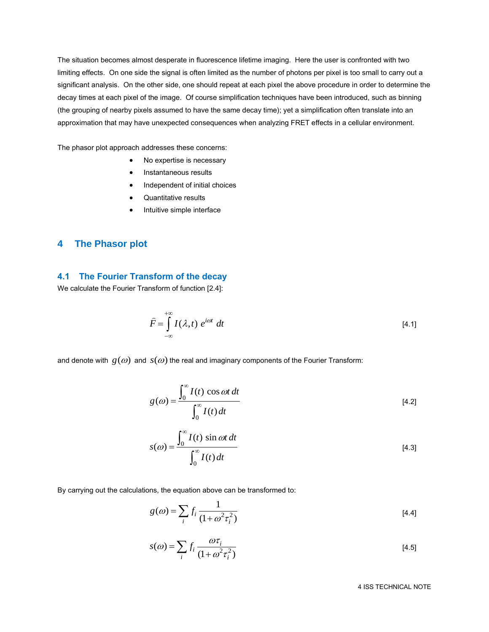The situation becomes almost desperate in fluorescence lifetime imaging. Here the user is confronted with two limiting effects. On one side the signal is often limited as the number of photons per pixel is too small to carry out a significant analysis. On the other side, one should repeat at each pixel the above procedure in order to determine the decay times at each pixel of the image. Of course simplification techniques have been introduced, such as binning (the grouping of nearby pixels assumed to have the same decay time); yet a simplification often translate into an approximation that may have unexpected consequences when analyzing FRET effects in a cellular environment.

The phasor plot approach addresses these concerns:

- No expertise is necessary
- Instantaneous results
- Independent of initial choices
- Quantitative results
- Intuitive simple interface

### **4 The Phasor plot**

## **4.1 The Fourier Transform of the decay**

We calculate the Fourier Transform of function [2.4]:

$$
\widehat{F} = \int_{-\infty}^{+\infty} I(\lambda, t) e^{i\omega t} dt
$$
 [4.1]

and denote with  $\,g(\omega)\,$  and  $\,s(\omega)$  the real and imaginary components of the Fourier Transform:

$$
g(\omega) = \frac{\int_0^{\infty} I(t) \cos \omega t \, dt}{\int_0^{\infty} I(t) \, dt}
$$
 [4.2]

$$
s(\omega) = \frac{\int_0^{\infty} I(t) \sin \omega t \, dt}{\int_0^{\infty} I(t) \, dt}
$$
\n[4.3]

By carrying out the calculations, the equation above can be transformed to:

$$
g(\omega) = \sum_{i} f_i \frac{1}{(1 + \omega^2 \tau_i^2)}
$$
 [4.4]

$$
s(\omega) = \sum_{i} f_i \frac{\omega \tau_i}{(1 + \omega^2 \tau_i^2)}
$$
 [4.5]

4 ISS TECHNICAL NOTE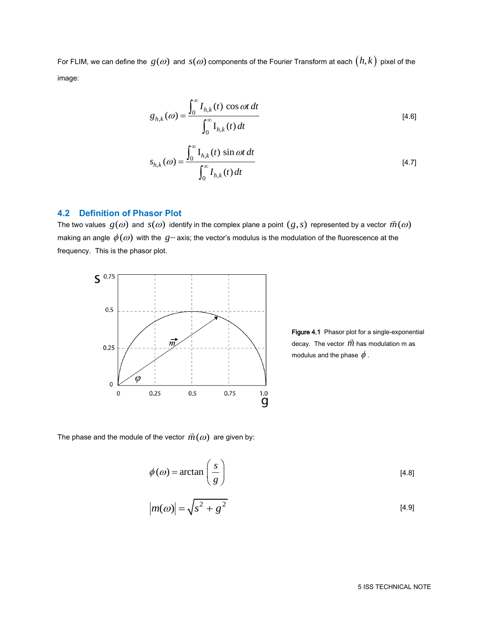For FLIM, we can define the  $\,g(\omega)\,$  and  $\,s(\omega)$  components of the Fourier Transform at each  $\big(h,k\big)$  pixel of the image:

$$
g_{h,k}(\omega) = \frac{\int_0^\infty I_{h,k}(t) \cos \omega t \, dt}{\int_0^\infty I_{h,k}(t) \, dt}
$$
\n
$$
\tag{4.6}
$$

$$
S_{h,k}(\omega) = \frac{\int_0^\infty I_{h,k}(t) \sin \omega t \, dt}{\int_0^\infty I_{h,k}(t) \, dt}
$$
\n
$$
\tag{4.7}
$$

## **4.2 Definition of Phasor Plot**

The two values  $\,g(\omega)$  and  $\,s(\omega)\,$  identify in the complex plane a point  $(g,s)$  represented by a vector  $\vec{m}(\omega)$ making an angle  $\phi(\omega)$  with the  $\,g-$  axis; the vector's modulus is the modulation of the fluorescence at the frequency. This is the phasor plot.



Figure 4.1 Phasor plot for a single-exponential decay. The vector  $\vec{m}$  has modulation m as modulus and the phase  $\,\phi$  .

The phase and the module of the vector  $\vec{m}(\omega)$  are given by:

$$
\phi(\omega) = \arctan\left(\frac{s}{g}\right)
$$
\n[4.8]  
\n
$$
|m(\omega)| = \sqrt{s^2 + g^2}
$$
\n[4.9]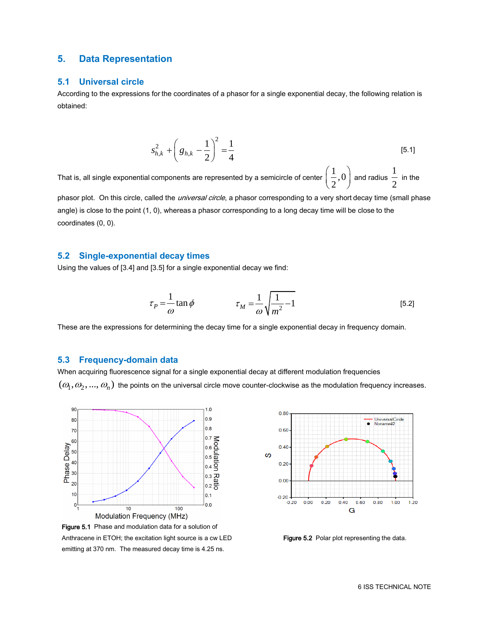## **5. Data Representation**

#### **5.1 Universal circle**

According to the expressions for the coordinates of a phasor for a single exponential decay, the following relation is obtained:

$$
s_{h,k}^2 + \left(g_{h,k} - \frac{1}{2}\right)^2 = \frac{1}{4}
$$
 [5.1]

That is, all single exponential components are represented by a semicircle of center  $\left(\frac{1}{\epsilon},0\right)$  $\left(\frac{1}{2},0\right)$ and radius  $\frac{1}{1}$  $\frac{1}{2}$  in the

phasor plot. On this circle, called the *universal circle*, a phasor corresponding to a very short decay time (small phase angle) is close to the point (1, 0), whereas a phasor corresponding to a long decay time will be close to the coordinates (0, 0).

#### **5.2 Single-exponential decay times**

Using the values of [3.4] and [3.5] for a single exponential decay we find:

$$
\tau_P = \frac{1}{\omega} \tan \phi \qquad \qquad \tau_M = \frac{1}{\omega} \sqrt{\frac{1}{m^2} - 1} \qquad (5.2)
$$

These are the expressions for determining the decay time for a single exponential decay in frequency domain.

#### **5.3 Frequency-domain data**

When acquiring fluorescence signal for a single exponential decay at different modulation frequencies  $(\omega_1,\omega_2,...,\omega_n)$  the points on the universal circle move counter-clockwise as the modulation frequency increases.



Anthracene in ETOH; the excitation light source is a cw LED emitting at 370 nm. The measured decay time is 4.25 ns.



Figure 5.2 Polar plot representing the data.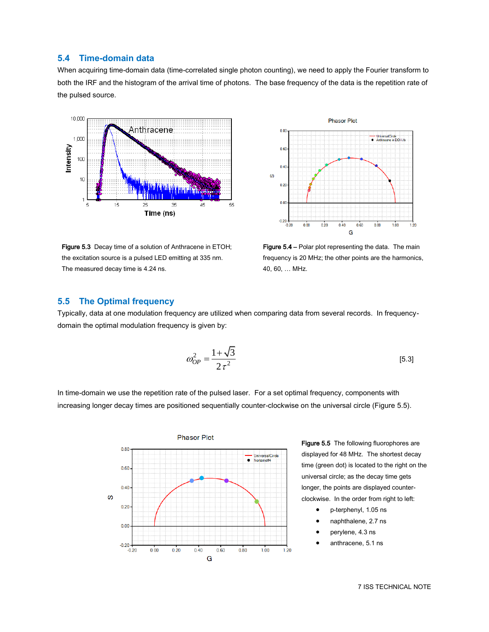### **5.4 Time-domain data**

When acquiring time-domain data (time-correlated single photon counting), we need to apply the Fourier transform to both the IRF and the histogram of the arrival time of photons. The base frequency of the data is the repetition rate of the pulsed source.

 $0.80$ 



---<br>----<br>● - Anthracene in EtOH.it 0.60  $0.40$  $\omega$  $0.20$  $0.00$  $-0.20 - 0.20$  $0.00$  $0.20$  $0.40$  $0.60$  $0.80$  $1.00$  $1.20$ Ġ

**Phasor Plot** 

Figure 5.3 Decay time of a solution of Anthracene in ETOH; the excitation source is a pulsed LED emitting at 335 nm. The measured decay time is 4.24 ns.

Figure 5.4 – Polar plot representing the data. The main frequency is 20 MHz; the other points are the harmonics, 40, 60, … MHz.

#### **5.5 The Optimal frequency**

Typically, data at one modulation frequency are utilized when comparing data from several records. In frequencydomain the optimal modulation frequency is given by:

$$
\omega_{OP}^2 = \frac{1 + \sqrt{3}}{2\,\tau^2} \tag{5.3}
$$

In time-domain we use the repetition rate of the pulsed laser. For a set optimal frequency, components with increasing longer decay times are positioned sequentially counter-clockwise on the universal circle (Figure 5.5).



Figure 5.5 The following fluorophores are displayed for 48 MHz. The shortest decay time (green dot) is located to the right on the universal circle; as the decay time gets longer, the points are displayed counterclockwise. In the order from right to left:

- p-terphenyl, 1.05 ns
- naphthalene, 2.7 ns
- perylene, 4.3 ns
- anthracene, 5.1 ns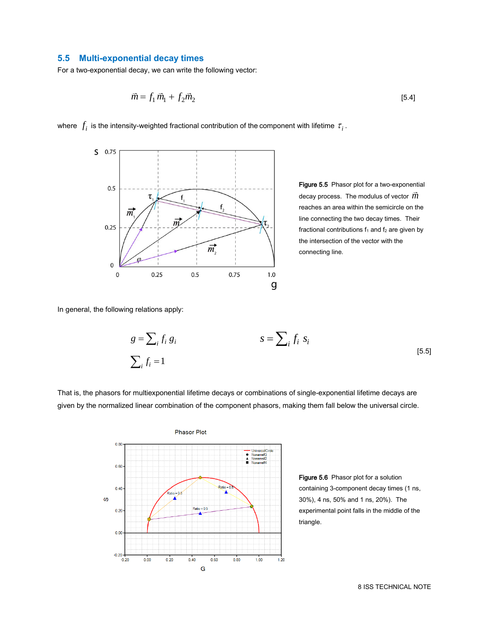### **5.5 Multi-exponential decay times**

For a two-exponential decay, we can write the following vector:

$$
\vec{m} = f_1 \,\vec{m}_1 + f_2 \vec{m}_2 \tag{5.4}
$$

where  $\,f_{i}^{}\,$  is the intensity-weighted fractional contribution of the component with lifetime  $\,\tau_{i}^{}\,$ .



Figure 5.5 Phasor plot for a two-exponential decay process. The modulus of vector  $\vec{m}$ reaches an area within the semicircle on the line connecting the two decay times. Their fractional contributions  $f_1$  and  $f_2$  are given by the intersection of the vector with the connecting line.

In general, the following relations apply:

$$
g = \sum_{i} f_i g_i
$$
  

$$
S = \sum_{i} f_i s_i
$$
  

$$
\sum_{i} f_i = 1
$$
 [5.5]

That is, the phasors for multiexponential lifetime decays or combinations of single-exponential lifetime decays are given by the normalized linear combination of the component phasors, making them fall below the universal circle.



Figure 5.6 Phasor plot for a solution containing 3-component decay times (1 ns, 30%), 4 ns, 50% and 1 ns, 20%). The experimental point falls in the middle of the triangle.